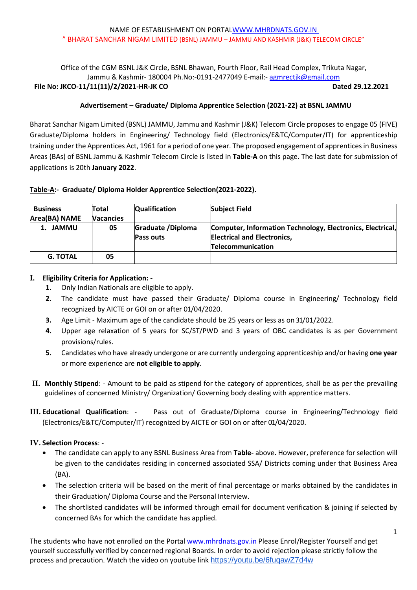Office of the CGM BSNL J&K Circle, BSNL Bhawan, Fourth Floor, Rail Head Complex, Trikuta Nagar, Jammu & Kashmir-180004 Ph.No:-0191-2477049 E-mail:- [agmrectjk@gmail.com](mailto:agmrectjk@gmail.com) **File No: JKCO-11/11(11)/2/2021-HR-JK CO Dated 29.12.2021**

# **Advertisement – Graduate/ Diploma Apprentice Selection (2021-22) at BSNL JAMMU**

Bharat Sanchar Nigam Limited (BSNL) JAMMU, Jammu and Kashmir (J&K) Telecom Circle proposes to engage 05 (FIVE) Graduate/Diploma holders in Engineering/ Technology field (Electronics/E&TC/Computer/IT) for apprenticeship training under the Apprentices Act, 1961 for a period of one year. The proposed engagement of apprentices in Business Areas (BAs) of BSNL Jammu & Kashmir Telecom Circle is listed in **Table-A** on this page. The last date for submission of applications is 20th **January 2022**.

# **Table-A:- Graduate/ Diploma Holder Apprentice Selection(2021-2022).**

| <b>Business</b> | Total            | <b>Qualification</b> | <b>Subject Field</b>                                       |
|-----------------|------------------|----------------------|------------------------------------------------------------|
| Area(BA) NAME   | <b>Vacancies</b> |                      |                                                            |
| 1. JAMMU        | 05               | Graduate / Diploma   | Computer, Information Technology, Electronics, Electrical, |
|                 |                  | Pass outs            | <b>Electrical and Electronics,</b>                         |
|                 |                  |                      | Telecommunication                                          |
| <b>G. TOTAL</b> | 05               |                      |                                                            |

# **I. Eligibility Criteria for Application: -**

- **1.** Only Indian Nationals are eligible to apply.
- **2.** The candidate must have passed their Graduate/ Diploma course in Engineering/ Technology field recognized by AICTE or GOI on or after 01/04/2020.
- **3.** Age Limit Maximum age of the candidate should be 25 years or less as on 31/01/2022.
- **4.** Upper age relaxation of 5 years for SC/ST/PWD and 3 years of OBC candidates is as per Government provisions/rules.
- **5.** Candidates who have already undergone or are currently undergoing apprenticeship and/or having **one year** or more experience are **not eligible to apply**.
- **II. Monthly Stipend**: Amount to be paid as stipend for the category of apprentices, shall be as per the prevailing guidelines of concerned Ministry/ Organization/ Governing body dealing with apprentice matters.
- **III. Educational Qualification**: Pass out of Graduate/Diploma course in Engineering/Technology field (Electronics/E&TC/Computer/IT) recognized by AICTE or GOI on or after 01/04/2020.

# **IV. Selection Process**: -

- The candidate can apply to any BSNL Business Area from **Table-** above. However, preference for selection will be given to the candidates residing in concerned associated SSA/ Districts coming under that Business Area (BA).
- The selection criteria will be based on the merit of final percentage or marks obtained by the candidates in their Graduation/ Diploma Course and the Personal Interview.
- The shortlisted candidates will be informed through email for document verification & joining if selected by concerned BAs for which the candidate has applied.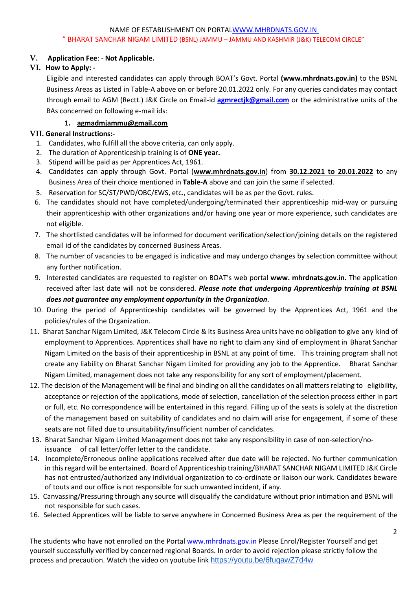# **V. Application Fee**: - **Not Applicable.**

# **VI. How to Apply: -**

Eligible and interested candidates can apply through BOAT's Govt. Portal **(www.mhrdnats.gov.in)** to the BSNL Business Areas as Listed in Table-A above on or before 20.01.2022 only. For any queries candidates may contact through email to AGM (Rectt.) J&K Circle on Email-id **[agmrectjk@gmail.com](mailto:agmrectjk@gmail.com)** or the administrative units of the BAs concerned on following e-mail ids:

# **1. [agmadmjammu@gmail.com](mailto:agmadmjammu@gmail.com)**

# **VII. General Instructions:-**

- 1. Candidates, who fulfill all the above criteria, can only apply.
- 2. The duration of Apprenticeship training is of **ONE year.**
- 3. Stipend will be paid as per Apprentices Act, 1961.
- 4. Candidates can apply through Govt. Portal (**www.mhrdnats.gov.in**) from **30.12.2021 to 20.01.2022** to any Business Area of their choice mentioned in **Table-A** above and can join the same if selected.
- 5. Reservation for SC/ST/PWD/OBC/EWS, etc., candidates will be as per the Govt. rules.
- 6. The candidates should not have completed/undergoing/terminated their apprenticeship mid-way or pursuing their apprenticeship with other organizations and/or having one year or more experience, such candidates are not eligible.
- 7. The shortlisted candidates will be informed for document verification/selection/joining details on the registered email id of the candidates by concerned Business Areas.
- 8. The number of vacancies to be engaged is indicative and may undergo changes by selection committee without any further notification.
- 9. Interested candidates are requested to register on BOAT's web portal **[www.](http://www/) mhrdnats.gov.in.** The application received after last date will not be considered. *Please note that undergoing Apprenticeship training at BSNL does not guarantee any employment opportunity in the Organization*.
- 10. During the period of Apprenticeship candidates will be governed by the Apprentices Act, 1961 and the policies/rules of the Organization.
- 11. Bharat Sanchar Nigam Limited, J&K Telecom Circle & its Business Area units have no obligation to give any kind of employment to Apprentices. Apprentices shall have no right to claim any kind of employment in Bharat Sanchar Nigam Limited on the basis of their apprenticeship in BSNL at any point of time. This training program shall not create any liability on Bharat Sanchar Nigam Limited for providing any job to the Apprentice. Bharat Sanchar Nigam Limited, management does not take any responsibility for any sort of employment/placement.
- 12. The decision of the Management will be final and binding on all the candidates on all matters relating to eligibility, acceptance or rejection of the applications, mode of selection, cancellation of the selection process either in part or full, etc. No correspondence will be entertained in this regard. Filling up of the seats is solely at the discretion of the management based on suitability of candidates and no claim will arise for engagement, if some of these seats are not filled due to unsuitability/insufficient number of candidates.
- 13. Bharat Sanchar Nigam Limited Management does not take any responsibility in case of non-selection/noissuance of call letter/offer letter to the candidate.
- 14. Incomplete/Erroneous online applications received after due date will be rejected. No further communication in thisregard will be entertained. Board of Apprenticeship training/BHARAT SANCHAR NIGAM LIMITED J&K Circle has not entrusted/authorized any individual organization to co-ordinate or liaison our work. Candidates beware of touts and our office is not responsible for such unwanted incident, if any.
- 15. Canvassing/Pressuring through any source will disqualify the candidature without prior intimation and BSNL will not responsible for such cases.
- 16. Selected Apprentices will be liable to serve anywhere in Concerned Business Area as per the requirement of the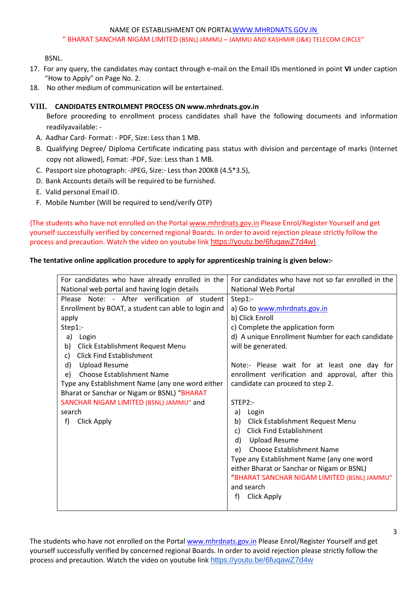### NAME OF ESTABLISHMENT ON PORTALWWW.MHRDNATS.GOV.IN

#### " BHARAT SANCHAR NIGAM LIMITED (BSNL) JAMMU – JAMMU AND KASHMIR (J&K) TELECOM CIRCLE"

BSNL.

- 17. For any query, the candidates may contact through e-mail on the Email IDs mentioned in point **VI** under caption "How to Apply" on Page No. 2.
- 18. No other medium of communication will be entertained.

# **VIII. CANDIDATES ENTROLMENT PROCESS ON [www.mhrdnats.gov.in](http://www.mhrdnats.gov.in/)**

Before proceeding to enrollment process candidates shall have the following documents and information readilyavailable: -

- A. Aadhar Card- Format: PDF, Size: Less than 1 MB.
- B. Qualifying Degree/ Diploma Certificate indicating pass status with division and percentage of marks (Internet copy not allowed), Fomat: -PDF, Size: Less than 1 MB.
- C. Passport size photograph: -JPEG, Size:- Less than 200KB (4.5\*3.5),
- D. Bank Accounts details will be required to be furnished.
- E. Valid personal Email ID.
- F. Mobile Number (Will be required to send/verify OTP)

{The students who have not enrolled on the Porta[l www.mhrdnats.gov.in](http://www.mhrdnats.gov.in/) Please Enrol/Register Yourself and get yourself successfully verified by concerned regional Boards. In order to avoid rejection please strictly follow the process and precaution. Watch the video on youtube link [https://youtu.be/6fuqawZ7d4w}](https://youtu.be/6fuqawZ7d4w)

# **The tentative online application procedure to apply for apprenticeship training is given below:-**

| For candidates who have already enrolled in the     | For candidates who have not so far enrolled in the |  |
|-----------------------------------------------------|----------------------------------------------------|--|
| National web portal and having login details        | National Web Portal                                |  |
| Please Note: - After verification of student        | $Step 1$ :-                                        |  |
| Enrollment by BOAT, a student can able to login and | a) Go to www.mhrdnats.gov.in                       |  |
| apply                                               | b) Click Enroll                                    |  |
| Step1:-                                             | c) Complete the application form                   |  |
| a)<br>Login                                         | d) A unique Enrollment Number for each candidate   |  |
| Click Establishment Request Menu<br>b)              | will be generated.                                 |  |
| <b>Click Find Establishment</b><br>c)               |                                                    |  |
| d)<br><b>Upload Resume</b>                          | Note:- Please wait for at least one day for        |  |
| <b>Choose Establishment Name</b><br>e)              | enrollment verification and approval, after this   |  |
| Type any Establishment Name (any one word either    | candidate can proceed to step 2.                   |  |
| Bharat or Sanchar or Nigam or BSNL) "BHARAT         |                                                    |  |
| SANCHAR NIGAM LIMITED (BSNL) JAMMU" and             | STEP2:                                             |  |
| search                                              | a) Login                                           |  |
| Click Apply<br>f)                                   | Click Establishment Request Menu<br>b)             |  |
|                                                     | <b>Click Find Establishment</b><br>C)              |  |
|                                                     | <b>Upload Resume</b><br>d)                         |  |
|                                                     | <b>Choose Establishment Name</b><br>e)             |  |
|                                                     |                                                    |  |
|                                                     | Type any Establishment Name (any one word          |  |
|                                                     | either Bharat or Sanchar or Nigam or BSNL)         |  |
|                                                     | "BHARAT SANCHAR NIGAM LIMITED (BSNL) JAMMU"        |  |
|                                                     | and search                                         |  |
|                                                     | f)<br><b>Click Apply</b>                           |  |
|                                                     |                                                    |  |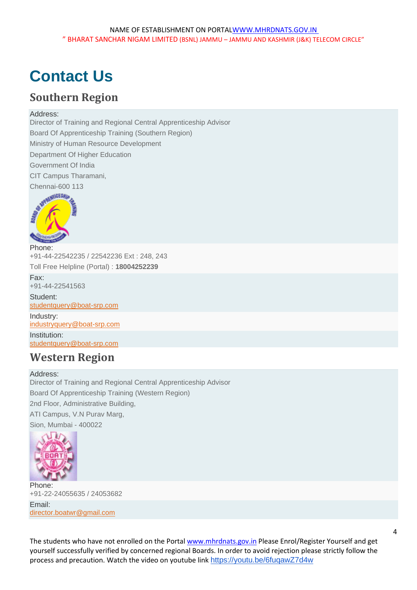# **Contact Us**

# **Southern Region**

# Address:

Director of Training and Regional Central Apprenticeship Advisor Board Of Apprenticeship Training (Southern Region) Ministry of Human Resource Development Department Of Higher Education Government Of India CIT Campus Tharamani,



Phone: +91-44-22542235 / 22542236 Ext : 248, 243 Toll Free Helpline (Portal) : **18004252239** Fax: +91-44-22541563 Student: [studentquery@boat-srp.com](mailto:studentquery@boat-srp.com) Industry: [industryquery@boat-srp.com](mailto:industryquery@boat-srp.com) Institution: [studentquery@boat-srp.com](mailto:institutionquery@boat-srp.com)

# **Western Region**

Address: Director of Training and Regional Central Apprenticeship Advisor Board Of Apprenticeship Training (Western Region) 2nd Floor, Administrative Building, ATI Campus, V.N Purav Marg, Sion, Mumbai - 400022



Phone: +91-22-24055635 / 24053682 Email: [director.boatwr@gmail.com](mailto:director.boatwr@gmail.com)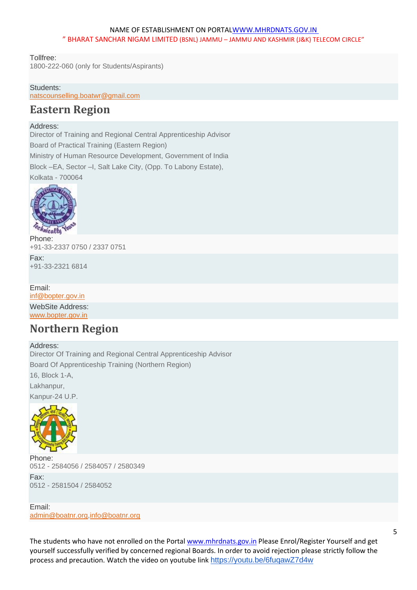Tollfree:

1800-222-060 (only for Students/Aspirants)

## Students:

[natscounselling.boatwr@gmail.com](mailto:natscounselling.boatwr@gmail.com)

# **Eastern Region**

### Address:

Director of Training and Regional Central Apprenticeship Advisor Board of Practical Training (Eastern Region)

Ministry of Human Resource Development, Government of India Block –EA, Sector –I, Salt Lake City, (Opp. To Labony Estate), Kolkata - 700064



Phone: +91-33-2337 0750 / 2337 0751

Fax: +91-33-2321 6814

### Email:

[inf@bopter.gov.in](mailto:inf@bopter.gov.in)

WebSite Address: [www.bopter.gov.in](http://www.bopter.gov.in/)

# **Northern Region**

Address:

Director Of Training and Regional Central Apprenticeship Advisor Board Of Apprenticeship Training (Northern Region) 16, Block 1-A,

Lakhanpur,

Kanpur-24 U.P.



Phone: 0512 - 2584056 / 2584057 / 2580349 Fax: 0512 - 2581504 / 2584052

Email: [admin@boatnr.org,](mailto:admin@boatnr.org)[info@boatnr.org](mailto:info@boatnr.org)